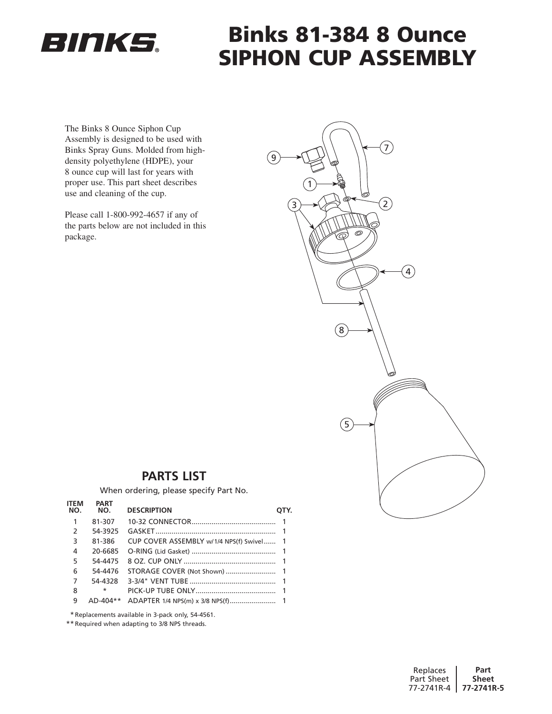

# Binks 81-384 8 Ounce Siphon Cup Assembly

9

The Binks 8 Ounce Siphon Cup Assembly is designed to be used with Binks Spray Guns. Molded from highdensity polyethylene (HDPE), your 8 ounce cup will last for years with proper use. This part sheet describes use and cleaning of the cup.

Please call 1-800-992-4657 if any of the parts below are not included in this package.



## **Parts List**

When ordering, please specify Part No.

| <b>ITEM</b><br>NO. | <b>PART</b><br>NO. | <b>DESCRIPTION</b>                       | OTY. |
|--------------------|--------------------|------------------------------------------|------|
| 1                  | 81-307             |                                          |      |
| $\mathcal{P}$      | 54-3925            |                                          |      |
| 3                  | 81-386             | CUP COVER ASSEMBLY w/1/4 NPS(f) Swivel 1 |      |
| 4                  | 20-6685            |                                          |      |
| 5                  | 54-4475            |                                          |      |
| 6                  | 54-4476            |                                          |      |
| 7                  | 54-4328            |                                          |      |
| 8                  | $\star$            |                                          |      |
| 9                  | $AD-404**$         |                                          |      |

\*Replacements available in 3-pack only, 54-4561.

\*\*Required when adapting to 3/8 NPS threads.

| Replaces   | Part         |
|------------|--------------|
| Part Sheet | <b>Sheet</b> |
| 77-2741R-4 | 77-2741R-5   |